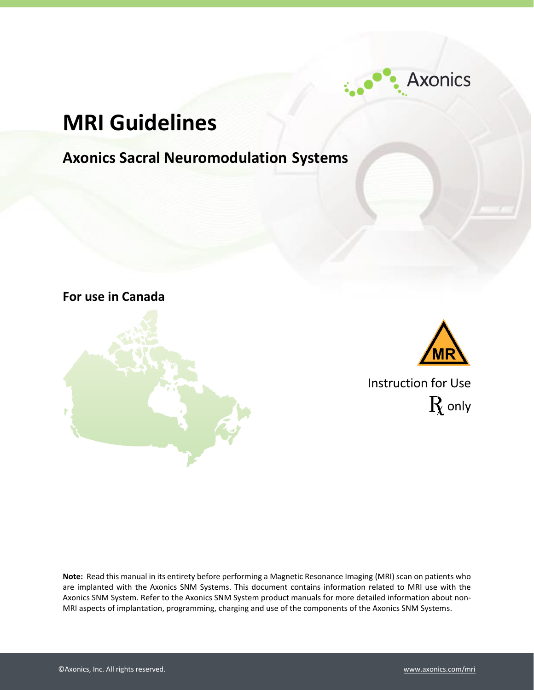

# **MRI Guidelines**

# **Axonics Sacral Neuromodulation Systems**

### **For use in Canada**





Instruction for Use  $R$  only

**Note:** Read this manual in its entirety before performing a Magnetic Resonance Imaging (MRI) scan on patients who are implanted with the Axonics SNM Systems. This document contains information related to MRI use with the Axonics SNM System. Refer to the Axonics SNM System product manuals for more detailed information about non-MRI aspects of implantation, programming, charging and use of the components of the Axonics SNM Systems.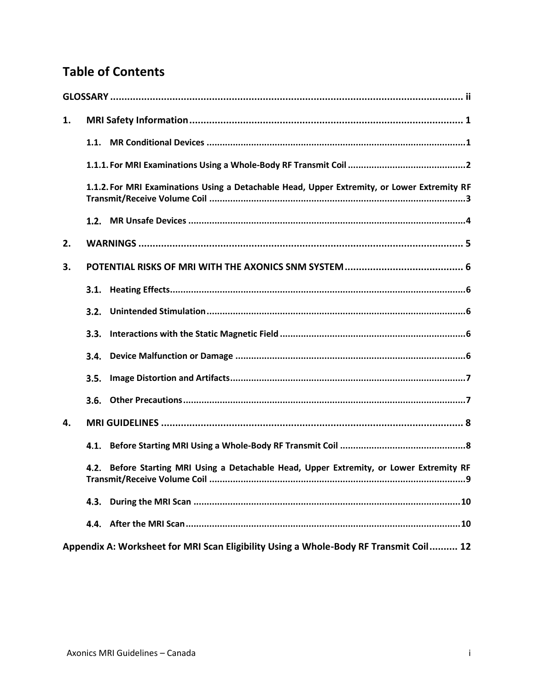# **Table of Contents**

| 1. |                                                                                             |                                                                                                                             |  |  |  |
|----|---------------------------------------------------------------------------------------------|-----------------------------------------------------------------------------------------------------------------------------|--|--|--|
|    |                                                                                             |                                                                                                                             |  |  |  |
|    |                                                                                             |                                                                                                                             |  |  |  |
|    | 1.1.2. For MRI Examinations Using a Detachable Head, Upper Extremity, or Lower Extremity RF |                                                                                                                             |  |  |  |
|    |                                                                                             |                                                                                                                             |  |  |  |
| 2. |                                                                                             |                                                                                                                             |  |  |  |
| 3. |                                                                                             |                                                                                                                             |  |  |  |
|    | 3.1.                                                                                        |                                                                                                                             |  |  |  |
|    | 3.2.                                                                                        |                                                                                                                             |  |  |  |
|    | 3.3.                                                                                        |                                                                                                                             |  |  |  |
|    | 3.4.                                                                                        |                                                                                                                             |  |  |  |
|    | 3.5.                                                                                        |                                                                                                                             |  |  |  |
|    | 3.6.                                                                                        |                                                                                                                             |  |  |  |
| 4. |                                                                                             |                                                                                                                             |  |  |  |
|    | 4.1.                                                                                        |                                                                                                                             |  |  |  |
|    | 4.2.                                                                                        | Before Starting MRI Using a Detachable Head, Upper Extremity, or Lower Extremity RF<br>Transmit/Receive Volume Coil.<br>. 9 |  |  |  |
|    | 4.3.                                                                                        |                                                                                                                             |  |  |  |
|    |                                                                                             |                                                                                                                             |  |  |  |
|    |                                                                                             | Appendix A: Worksheet for MRI Scan Eligibility Using a Whole-Body RF Transmit Coil 12                                       |  |  |  |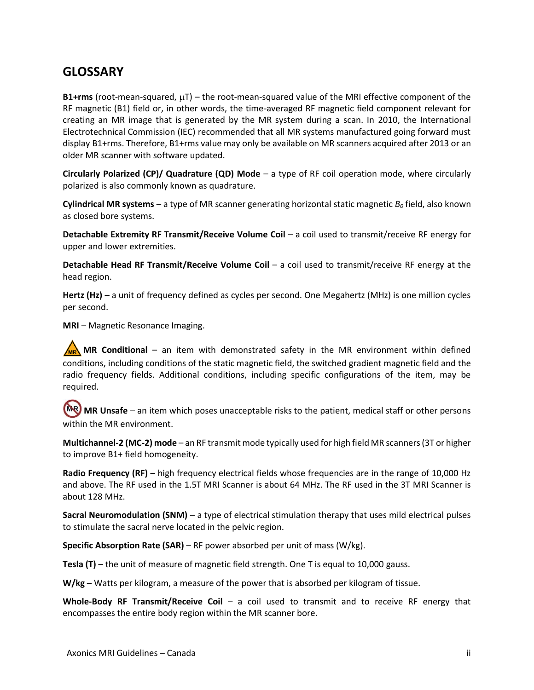### <span id="page-2-0"></span>**GLOSSARY**

**B1+rms** (root-mean-squared,  $\mu$ T) – the root-mean-squared value of the MRI effective component of the RF magnetic (B1) field or, in other words, the time-averaged RF magnetic field component relevant for creating an MR image that is generated by the MR system during a scan. In 2010, the International Electrotechnical Commission (IEC) recommended that all MR systems manufactured going forward must display B1+rms. Therefore, B1+rms value may only be available on MR scanners acquired after 2013 or an older MR scanner with software updated.

**Circularly Polarized (CP)/ Quadrature (QD) Mode** – a type of RF coil operation mode, where circularly polarized is also commonly known as quadrature.

**Cylindrical MR systems** – a type of MR scanner generating horizontal static magnetic *B<sup>0</sup>* field, also known as closed bore systems.

**Detachable Extremity RF Transmit/Receive Volume Coil** – a coil used to transmit/receive RF energy for upper and lower extremities.

**Detachable Head RF Transmit/Receive Volume Coil** – a coil used to transmit/receive RF energy at the head region.

**Hertz (Hz)** – a unit of frequency defined as cycles per second. One Megahertz (MHz) is one million cycles per second.

**MRI** – Magnetic Resonance Imaging.

**MR MR Conditional** – an item with demonstrated safety in the MR environment within defined conditions, including conditions of the static magnetic field, the switched gradient magnetic field and the radio frequency fields. Additional conditions, including specific configurations of the item, may be required.

**MR Unsafe** – an item which poses unacceptable risks to the patient, medical staff or other persons within the MR environment.

**Multichannel-2 (MC-2) mode** – an RF transmit mode typically used for high field MR scanners (3T or higher to improve B1+ field homogeneity.

**Radio Frequency (RF)** – high frequency electrical fields whose frequencies are in the range of 10,000 Hz and above. The RF used in the 1.5T MRI Scanner is about 64 MHz. The RF used in the 3T MRI Scanner is about 128 MHz.

**Sacral Neuromodulation (SNM)** – a type of electrical stimulation therapy that uses mild electrical pulses to stimulate the sacral nerve located in the pelvic region.

**Specific Absorption Rate (SAR)** – RF power absorbed per unit of mass (W/kg).

**Tesla (T)** – the unit of measure of magnetic field strength. One T is equal to 10,000 gauss.

**W/kg** – Watts per kilogram, a measure of the power that is absorbed per kilogram of tissue.

**Whole-Body RF Transmit/Receive Coil** – a coil used to transmit and to receive RF energy that encompasses the entire body region within the MR scanner bore.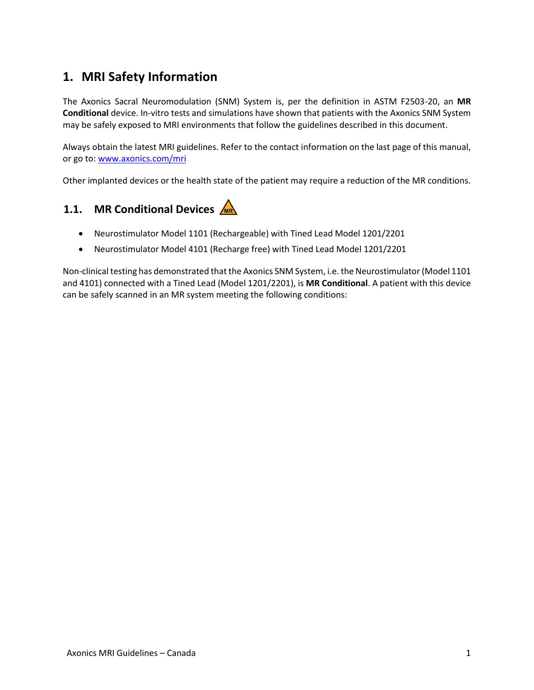### <span id="page-3-0"></span>**1. MRI Safety Information**

The Axonics Sacral Neuromodulation (SNM) System is, per the definition in ASTM F2503-20, an **MR Conditional** device. In-vitro tests and simulations have shown that patients with the Axonics SNM System may be safely exposed to MRI environments that follow the guidelines described in this document.

Always obtain the latest MRI guidelines. Refer to the contact information on the last page of this manual, or go to: [www.axonics.com/mri](http://www.axonics.com/mri)

Other implanted devices or the health state of the patient may require a reduction of the MR conditions.

# <span id="page-3-1"></span>**1.1. MR Conditional Devices**

- Neurostimulator Model 1101 (Rechargeable) with Tined Lead Model 1201/2201
- Neurostimulator Model 4101 (Recharge free) with Tined Lead Model 1201/2201

Non-clinical testing has demonstrated that the Axonics SNM System, i.e. the Neurostimulator (Model 1101 and 4101) connected with a Tined Lead (Model 1201/2201), is **MR Conditional**. A patient with this device can be safely scanned in an MR system meeting the following conditions: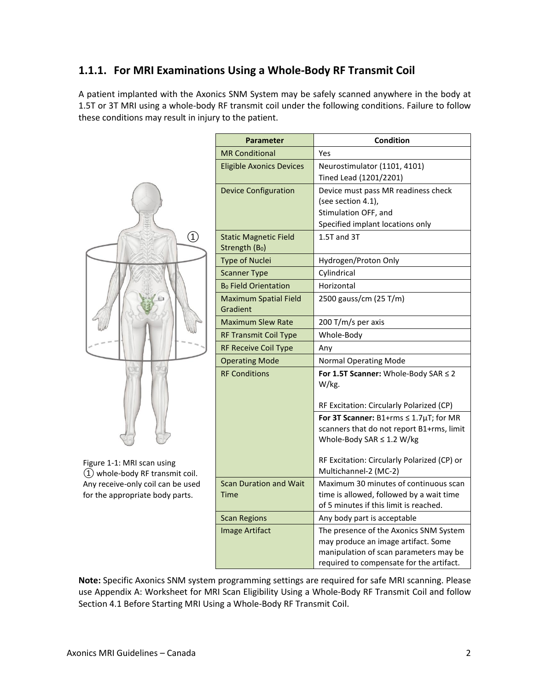### <span id="page-4-0"></span>**1.1.1. For MRI Examinations Using a Whole-Body RF Transmit Coil**

A patient implanted with the Axonics SNM System may be safely scanned anywhere in the body at 1.5T or 3T MRI using a whole-body RF transmit coil under the following conditions. Failure to follow these conditions may result in injury to the patient.



Figure 1-1: MRI scan using ① whole-body RF transmit coil. Any receive-only coil can be used for the appropriate body parts.

| <b>Parameter</b>                                           | <b>Condition</b>                                                                                                               |  |
|------------------------------------------------------------|--------------------------------------------------------------------------------------------------------------------------------|--|
| <b>MR Conditional</b>                                      | Yes                                                                                                                            |  |
| <b>Eligible Axonics Devices</b>                            | Neurostimulator (1101, 4101)                                                                                                   |  |
|                                                            | Tined Lead (1201/2201)                                                                                                         |  |
| <b>Device Configuration</b>                                | Device must pass MR readiness check                                                                                            |  |
|                                                            | (see section 4.1),                                                                                                             |  |
|                                                            | Stimulation OFF, and                                                                                                           |  |
|                                                            | Specified implant locations only                                                                                               |  |
| <b>Static Magnetic Field</b><br>Strength (B <sub>0</sub> ) | $1.5T$ and $3T$                                                                                                                |  |
| <b>Type of Nuclei</b>                                      | Hydrogen/Proton Only                                                                                                           |  |
| <b>Scanner Type</b>                                        | Cylindrical                                                                                                                    |  |
| <b>B<sub>0</sub></b> Field Orientation                     | Horizontal                                                                                                                     |  |
| <b>Maximum Spatial Field</b><br>Gradient                   | 2500 gauss/cm (25 T/m)                                                                                                         |  |
| <b>Maximum Slew Rate</b>                                   | 200 T/m/s per axis                                                                                                             |  |
| <b>RF Transmit Coil Type</b>                               | Whole-Body                                                                                                                     |  |
| <b>RF Receive Coil Type</b>                                | Any                                                                                                                            |  |
| <b>Operating Mode</b>                                      | <b>Normal Operating Mode</b>                                                                                                   |  |
| <b>RF Conditions</b>                                       | For 1.5T Scanner: Whole-Body SAR ≤ 2<br>W/kg.                                                                                  |  |
|                                                            | RF Excitation: Circularly Polarized (CP)                                                                                       |  |
|                                                            | For 3T Scanner: $B1+rms \le 1.7 \mu T$ ; for MR<br>scanners that do not report B1+rms, limit<br>Whole-Body SAR $\leq$ 1.2 W/kg |  |
|                                                            | RF Excitation: Circularly Polarized (CP) or<br>Multichannel-2 (MC-2)                                                           |  |
| <b>Scan Duration and Wait</b><br>Time                      | Maximum 30 minutes of continuous scan<br>time is allowed, followed by a wait time<br>of 5 minutes if this limit is reached.    |  |
| <b>Scan Regions</b>                                        | Any body part is acceptable                                                                                                    |  |
| <b>Image Artifact</b>                                      | The presence of the Axonics SNM System                                                                                         |  |
|                                                            | may produce an image artifact. Some                                                                                            |  |
|                                                            | manipulation of scan parameters may be                                                                                         |  |
|                                                            | required to compensate for the artifact.                                                                                       |  |

**Note:** Specific Axonics SNM system programming settings are required for safe MRI scanning. Please use Appendix A: [Worksheet for MRI Scan Eligibility Using a](#page-14-0) Whole-Body RF Transmit Coil and follow Sectio[n 4.1](#page-10-1) Before Starting MRI Using a Whole-Body [RF Transmit Coil.](#page-10-1)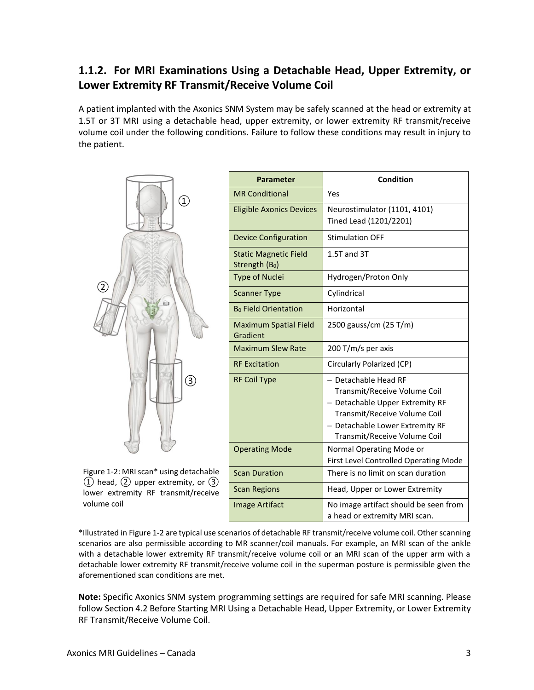### <span id="page-5-0"></span>**1.1.2. For MRI Examinations Using a Detachable Head, Upper Extremity, or Lower Extremity RF Transmit/Receive Volume Coil**

A patient implanted with the Axonics SNM System may be safely scanned at the head or extremity at 1.5T or 3T MRI using a detachable head, upper extremity, or lower extremity RF transmit/receive volume coil under the following conditions. Failure to follow these conditions may result in injury to the patient.



Figure 1-2: MRI scan\* using detachable  $(1)$  head,  $(2)$  upper extremity, or  $(3)$ lower extremity RF transmit/receive volume coil

| <b>Parameter</b>                                | <b>Condition</b>                                                                                                                                                                           |  |  |
|-------------------------------------------------|--------------------------------------------------------------------------------------------------------------------------------------------------------------------------------------------|--|--|
| <b>MR Conditional</b>                           | Yes                                                                                                                                                                                        |  |  |
| <b>Eligible Axonics Devices</b>                 | Neurostimulator (1101, 4101)<br>Tined Lead (1201/2201)                                                                                                                                     |  |  |
| <b>Device Configuration</b>                     | <b>Stimulation OFF</b>                                                                                                                                                                     |  |  |
| <b>Static Magnetic Field</b><br>Strength $(B0)$ | $1.5T$ and $3T$                                                                                                                                                                            |  |  |
| <b>Type of Nuclei</b>                           | Hydrogen/Proton Only                                                                                                                                                                       |  |  |
| <b>Scanner Type</b>                             | Cylindrical                                                                                                                                                                                |  |  |
| B <sub>0</sub> Field Orientation                | Horizontal                                                                                                                                                                                 |  |  |
| <b>Maximum Spatial Field</b><br>Gradient        | 2500 gauss/cm (25 T/m)                                                                                                                                                                     |  |  |
| <b>Maximum Slew Rate</b>                        | 200 T/m/s per axis                                                                                                                                                                         |  |  |
| <b>RF Excitation</b>                            | Circularly Polarized (CP)                                                                                                                                                                  |  |  |
| <b>RF Coil Type</b>                             | - Detachable Head RF<br>Transmit/Receive Volume Coil<br>- Detachable Upper Extremity RF<br>Transmit/Receive Volume Coil<br>- Detachable Lower Extremity RF<br>Transmit/Receive Volume Coil |  |  |
| <b>Operating Mode</b>                           | Normal Operating Mode or<br><b>First Level Controlled Operating Mode</b>                                                                                                                   |  |  |
| <b>Scan Duration</b>                            | There is no limit on scan duration                                                                                                                                                         |  |  |
| <b>Scan Regions</b>                             | Head, Upper or Lower Extremity                                                                                                                                                             |  |  |
| <b>Image Artifact</b>                           | No image artifact should be seen from<br>a head or extremity MRI scan.                                                                                                                     |  |  |

<span id="page-5-1"></span>\*Illustrated i[n Figure 1-2](#page-5-1) are typical use scenarios of detachable RF transmit/receive volume coil. Other scanning scenarios are also permissible according to MR scanner/coil manuals. For example, an MRI scan of the ankle with a detachable lower extremity RF transmit/receive volume coil or an MRI scan of the upper arm with a detachable lower extremity RF transmit/receive volume coil in the superman posture is permissible given the aforementioned scan conditions are met.

**Note:** Specific Axonics SNM system programming settings are required for safe MRI scanning. Please follow Sectio[n 4.2](#page-11-0) Before Starting MRI Using a Detachable [Head, Upper Extremity, or Lower Extremity](#page-11-0)  RF [Transmit/Receive](#page-11-0) Volume Coil.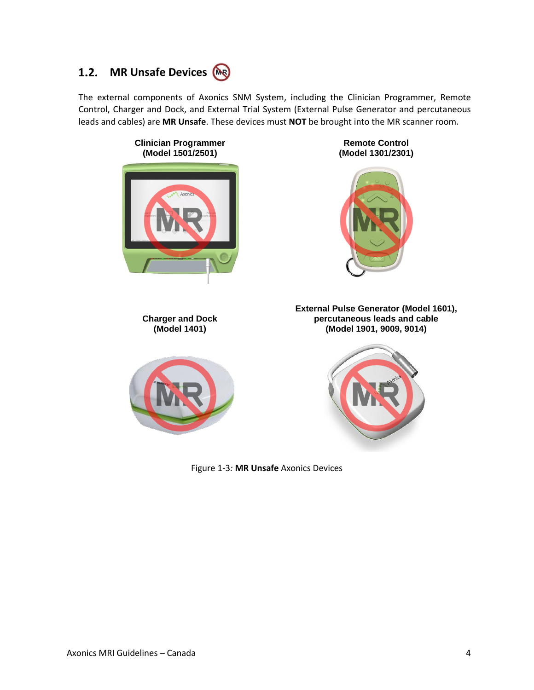# <span id="page-6-0"></span>**1.2. MR Unsafe Devices (MR)**

The external components of Axonics SNM System, including the Clinician Programmer, Remote Control, Charger and Dock, and External Trial System (External Pulse Generator and percutaneous leads and cables) are **MR Unsafe**. These devices must **NOT** be brought into the MR scanner room.



**Remote Control (Model 1301/2301)**



**Charger and Dock (Model 1401)**



Figure 1-3*:* **MR Unsafe** Axonics Devices

**External Pulse Generator (Model 1601), percutaneous leads and cable (Model 1901, 9009, 9014)**

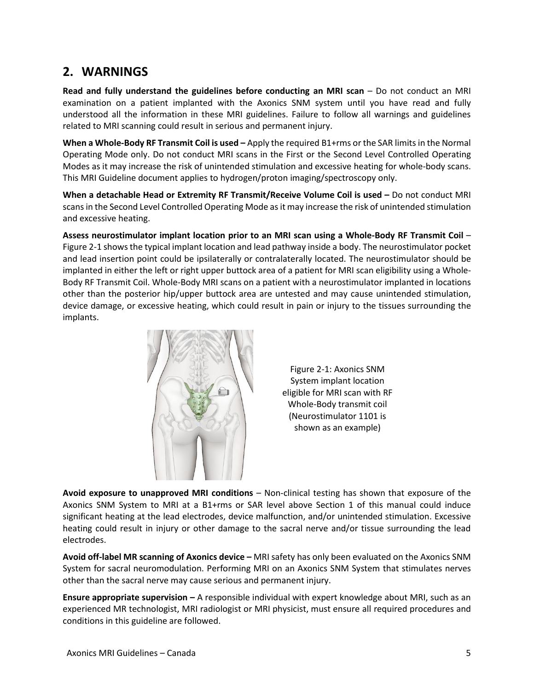## <span id="page-7-0"></span>**2. WARNINGS**

**Read and fully understand the guidelines before conducting an MRI scan** – Do not conduct an MRI examination on a patient implanted with the Axonics SNM system until you have read and fully understood all the information in these MRI guidelines. Failure to follow all warnings and guidelines related to MRI scanning could result in serious and permanent injury.

**When a Whole-Body RF Transmit Coil is used –** Apply the required B1+rms or the SAR limits in the Normal Operating Mode only. Do not conduct MRI scans in the First or the Second Level Controlled Operating Modes as it may increase the risk of unintended stimulation and excessive heating for whole-body scans. This MRI Guideline document applies to hydrogen/proton imaging/spectroscopy only.

**When a detachable Head or Extremity RF Transmit/Receive Volume Coil is used –** Do not conduct MRI scans in the Second Level Controlled Operating Mode as it may increase the risk of unintended stimulation and excessive heating.

**Assess neurostimulator implant location prior to an MRI scan using a Whole-Body RF Transmit Coil** – [Figure 2-1](#page-7-1) shows the typical implant location and lead pathway inside a body. The neurostimulator pocket and lead insertion point could be ipsilaterally or contralaterally located. The neurostimulator should be implanted in either the left or right upper buttock area of a patient for MRI scan eligibility using a Whole-Body RF Transmit Coil. Whole-Body MRI scans on a patient with a neurostimulator implanted in locations other than the posterior hip/upper buttock area are untested and may cause unintended stimulation, device damage, or excessive heating, which could result in pain or injury to the tissues surrounding the implants.

<span id="page-7-1"></span>

Figure 2-1: Axonics SNM System implant location eligible for MRI scan with RF Whole-Body transmit coil (Neurostimulator 1101 is shown as an example)

**Avoid exposure to unapproved MRI conditions** – Non-clinical testing has shown that exposure of the Axonics SNM System to MRI at a B1+rms or SAR level above Section 1 of this manual could induce significant heating at the lead electrodes, device malfunction, and/or unintended stimulation. Excessive heating could result in injury or other damage to the sacral nerve and/or tissue surrounding the lead electrodes.

**Avoid off-label MR scanning of Axonics device –** MRI safety has only been evaluated on the Axonics SNM System for sacral neuromodulation. Performing MRI on an Axonics SNM System that stimulates nerves other than the sacral nerve may cause serious and permanent injury.

**Ensure appropriate supervision –** A responsible individual with expert knowledge about MRI, such as an experienced MR technologist, MRI radiologist or MRI physicist, must ensure all required procedures and conditions in this guideline are followed.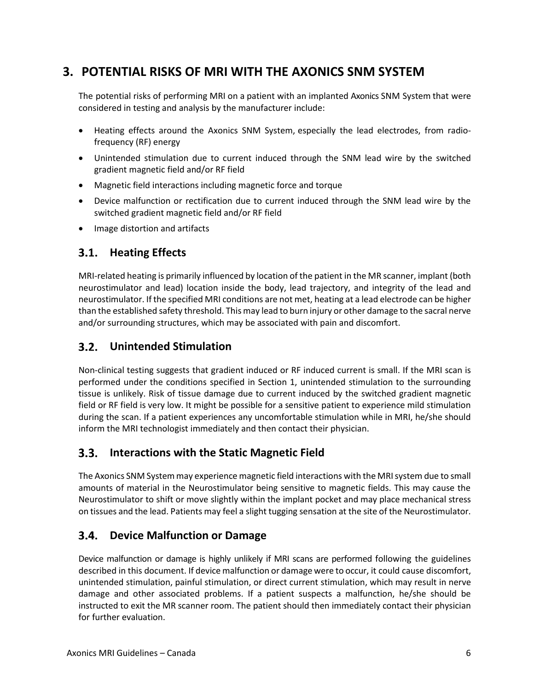### <span id="page-8-0"></span>**3. POTENTIAL RISKS OF MRI WITH THE AXONICS SNM SYSTEM**

The potential risks of performing MRI on a patient with an implanted Axonics SNM System that were considered in testing and analysis by the manufacturer include:

- Heating effects around the Axonics SNM System, especially the lead electrodes, from radiofrequency (RF) energy
- Unintended stimulation due to current induced through the SNM lead wire by the switched gradient magnetic field and/or RF field
- Magnetic field interactions including magnetic force and torque
- Device malfunction or rectification due to current induced through the SNM lead wire by the switched gradient magnetic field and/or RF field
- Image distortion and artifacts

#### <span id="page-8-1"></span> $3.1.$ **Heating Effects**

MRI-related heating is primarily influenced by location of the patient in the MR scanner, implant (both neurostimulator and lead) location inside the body, lead trajectory, and integrity of the lead and neurostimulator. If the specified MRI conditions are not met, heating at a lead electrode can be higher than the established safety threshold. This may lead to burn injury or other damage to the sacral nerve and/or surrounding structures, which may be associated with pain and discomfort.

#### <span id="page-8-2"></span> $3.2.$ **Unintended Stimulation**

Non-clinical testing suggests that gradient induced or RF induced current is small. If the MRI scan is performed under the conditions specified in Section 1, unintended stimulation to the surrounding tissue is unlikely. Risk of tissue damage due to current induced by the switched gradient magnetic field or RF field is very low. It might be possible for a sensitive patient to experience mild stimulation during the scan. If a patient experiences any uncomfortable stimulation while in MRI, he/she should inform the MRI technologist immediately and then contact their physician.

#### <span id="page-8-3"></span> $3.3.$ **Interactions with the Static Magnetic Field**

The Axonics SNM System may experience magnetic field interactions with the MRI system due to small amounts of material in the Neurostimulator being sensitive to magnetic fields. This may cause the Neurostimulator to shift or move slightly within the implant pocket and may place mechanical stress on tissues and the lead. Patients may feel a slight tugging sensation at the site of the Neurostimulator.

#### <span id="page-8-4"></span> $3.4.$ **Device Malfunction or Damage**

Device malfunction or damage is highly unlikely if MRI scans are performed following the guidelines described in this document. If device malfunction or damage were to occur, it could cause discomfort, unintended stimulation, painful stimulation, or direct current stimulation, which may result in nerve damage and other associated problems. If a patient suspects a malfunction, he/she should be instructed to exit the MR scanner room. The patient should then immediately contact their physician for further evaluation.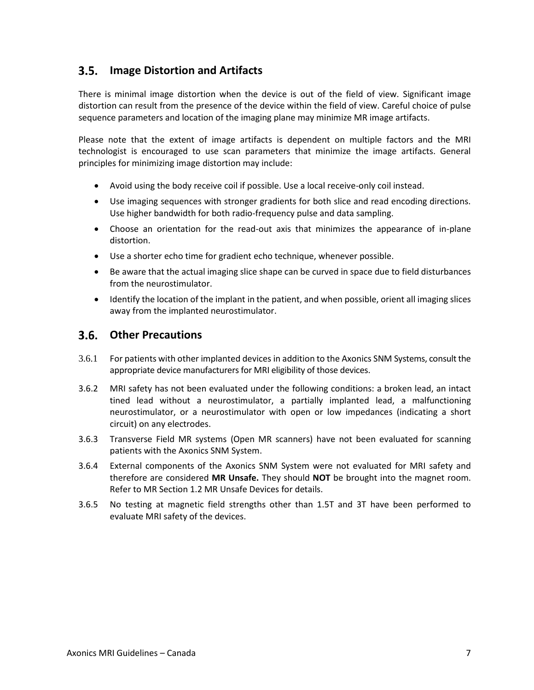#### <span id="page-9-0"></span>3.5. **Image Distortion and Artifacts**

There is minimal image distortion when the device is out of the field of view. Significant image distortion can result from the presence of the device within the field of view. Careful choice of pulse sequence parameters and location of the imaging plane may minimize MR image artifacts.

Please note that the extent of image artifacts is dependent on multiple factors and the MRI technologist is encouraged to use scan parameters that minimize the image artifacts. General principles for minimizing image distortion may include:

- Avoid using the body receive coil if possible. Use a local receive-only coil instead.
- Use imaging sequences with stronger gradients for both slice and read encoding directions. Use higher bandwidth for both radio-frequency pulse and data sampling.
- Choose an orientation for the read-out axis that minimizes the appearance of in-plane distortion.
- Use a shorter echo time for gradient echo technique, whenever possible.
- Be aware that the actual imaging slice shape can be curved in space due to field disturbances from the neurostimulator.
- Identify the location of the implant in the patient, and when possible, orient all imaging slices away from the implanted neurostimulator.

### <span id="page-9-1"></span>**Other Precautions**

- 3.6.1 For patients with other implanted devices in addition to the Axonics SNM Systems, consult the appropriate device manufacturers for MRI eligibility of those devices.
- 3.6.2 MRI safety has not been evaluated under the following conditions: a broken lead, an intact tined lead without a neurostimulator, a partially implanted lead, a malfunctioning neurostimulator, or a neurostimulator with open or low impedances (indicating a short circuit) on any electrodes.
- 3.6.3 Transverse Field MR systems (Open MR scanners) have not been evaluated for scanning patients with the Axonics SNM System.
- 3.6.4 External components of the Axonics SNM System were not evaluated for MRI safety and therefore are considered **MR Unsafe.** They should **NOT** be brought into the magnet room. Refer to MR Section [1.2](#page-6-0) [MR Unsafe Devices](#page-6-0) for details.
- 3.6.5 No testing at magnetic field strengths other than 1.5T and 3T have been performed to evaluate MRI safety of the devices.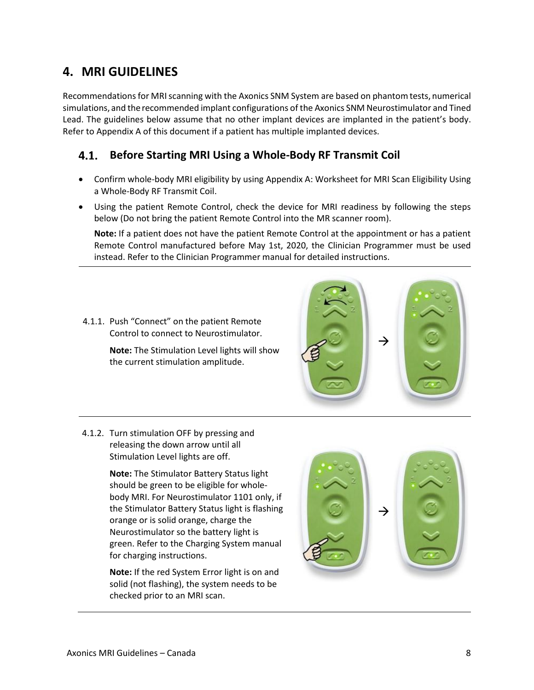# <span id="page-10-0"></span>**4. MRI GUIDELINES**

Recommendations for MRI scanning with the Axonics SNM System are based on phantom tests, numerical simulations, and the recommended implant configurations of the Axonics SNM Neurostimulator and Tined Lead. The guidelines below assume that no other implant devices are implanted in the patient's body. Refer to Appendix A of this document if a patient has multiple implanted devices.

#### <span id="page-10-1"></span>**Before Starting MRI Using a Whole-Body RF Transmit Coil**  $4.1.$

- Confirm whole-body MRI eligibility by using Appendix A: Worksheet for MRI Scan Eligibility Using a [Whole-Body RF Transmit Coil.](#page-14-0)
- Using the patient Remote Control, check the device for MRI readiness by following the steps below (Do not bring the patient Remote Control into the MR scanner room).

**Note:** If a patient does not have the patient Remote Control at the appointment or has a patient Remote Control manufactured before May 1st, 2020, the Clinician Programmer must be used instead. Refer to the Clinician Programmer manual for detailed instructions.

4.1.1. Push "Connect" on the patient Remote Control to connect to Neurostimulator.

> **Note:** The Stimulation Level lights will show the current stimulation amplitude.



4.1.2. Turn stimulation OFF by pressing and releasing the down arrow until all Stimulation Level lights are off.

> **Note:** The Stimulator Battery Status light should be green to be eligible for wholebody MRI. For Neurostimulator 1101 only, if the Stimulator Battery Status light is flashing orange or is solid orange, charge the Neurostimulator so the battery light is green. Refer to the Charging System manual for charging instructions.

**Note:** If the red System Error light is on and solid (not flashing), the system needs to be checked prior to an MRI scan.

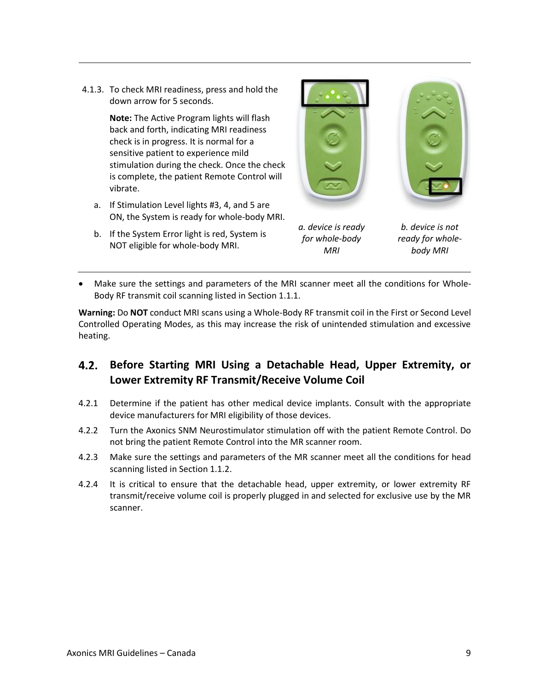4.1.3. To check MRI readiness, press and hold the down arrow for 5 seconds.

> **Note:** The Active Program lights will flash back and forth, indicating MRI readiness check is in progress. It is normal for a sensitive patient to experience mild stimulation during the check. Once the check is complete, the patient Remote Control will vibrate.

- a. If Stimulation Level lights #3, 4, and 5 are ON, the System is ready for whole-body MRI.
- b. If the System Error light is red, System is NOT eligible for whole-body MRI.



*a. device is ready for whole-body MRI*

*b. device is not ready for wholebody MRI*

• Make sure the settings and parameters of the MRI scanner meet all the conditions for Whole-Body RF transmit coil scanning listed in Sectio[n 1.1.1.](#page-4-0)

**Warning:** Do **NOT** conduct MRI scans using a Whole-Body RF transmit coil in the First or Second Level Controlled Operating Modes, as this may increase the risk of unintended stimulation and excessive heating.

#### <span id="page-11-0"></span>4.2. **Before Starting MRI Using a Detachable Head, Upper Extremity, or Lower Extremity RF Transmit/Receive Volume Coil**

- 4.2.1 Determine if the patient has other medical device implants. Consult with the appropriate device manufacturers for MRI eligibility of those devices.
- 4.2.2 Turn the Axonics SNM Neurostimulator stimulation off with the patient Remote Control. Do not bring the patient Remote Control into the MR scanner room.
- 4.2.3 Make sure the settings and parameters of the MR scanner meet all the conditions for head scanning listed in Section [1.1.2.](#page-5-0)
- 4.2.4 It is critical to ensure that the detachable head, upper extremity, or lower extremity RF transmit/receive volume coil is properly plugged in and selected for exclusive use by the MR scanner.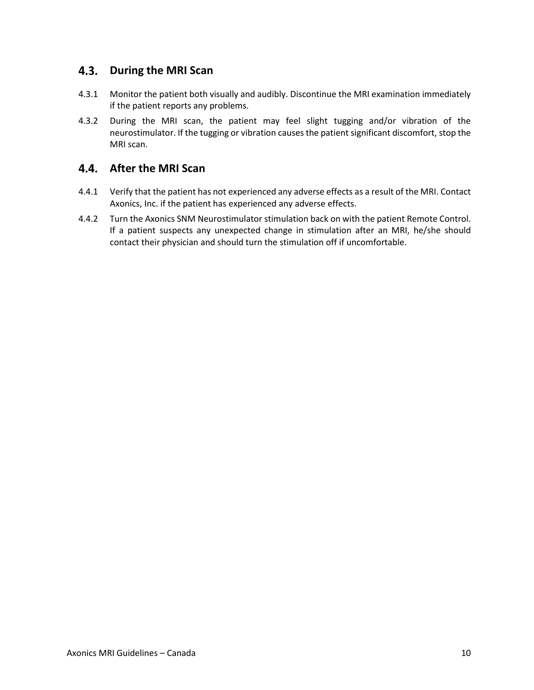### <span id="page-12-0"></span>**During the MRI Scan**

- 4.3.1 Monitor the patient both visually and audibly. Discontinue the MRI examination immediately if the patient reports any problems.
- 4.3.2 During the MRI scan, the patient may feel slight tugging and/or vibration of the neurostimulator. If the tugging or vibration causes the patient significant discomfort, stop the MRI scan.

### <span id="page-12-1"></span>**After the MRI Scan**

- 4.4.1 Verify that the patient has not experienced any adverse effects as a result of the MRI. Contact Axonics, Inc. if the patient has experienced any adverse effects.
- 4.4.2 Turn the Axonics SNM Neurostimulator stimulation back on with the patient Remote Control. If a patient suspects any unexpected change in stimulation after an MRI, he/she should contact their physician and should turn the stimulation off if uncomfortable.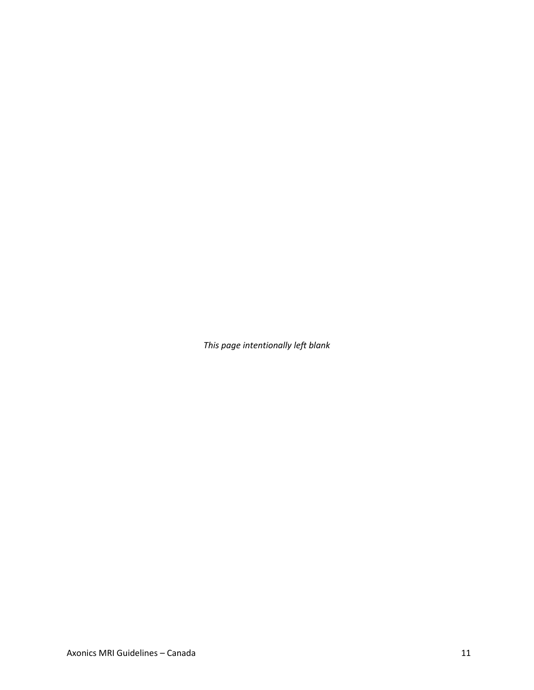*This page intentionally left blank*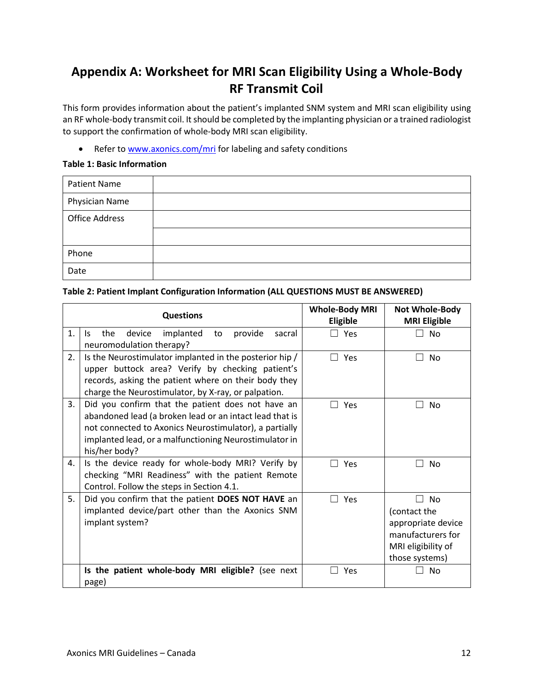# <span id="page-14-0"></span>**Appendix A: Worksheet for MRI Scan Eligibility Using a Whole-Body RF Transmit Coil**

This form provides information about the patient's implanted SNM system and MRI scan eligibility using an RF whole-body transmit coil. It should be completed by the implanting physician or a trained radiologist to support the confirmation of whole-body MRI scan eligibility.

• Refer t[o www.axonics.com/mri](http://www.axonics.com/mri) for labeling and safety conditions

### **Table 1: Basic Information**

| <b>Patient Name</b>   |  |
|-----------------------|--|
| Physician Name        |  |
| <b>Office Address</b> |  |
|                       |  |
| Phone                 |  |
| Date                  |  |

### **Table 2: Patient Implant Configuration Information (ALL QUESTIONS MUST BE ANSWERED)**

|                | <b>Questions</b>                                                                                                                                                                                                                                  | <b>Whole-Body MRI</b><br>Eligible | <b>Not Whole-Body</b><br><b>MRI Eligible</b>                                                                 |
|----------------|---------------------------------------------------------------------------------------------------------------------------------------------------------------------------------------------------------------------------------------------------|-----------------------------------|--------------------------------------------------------------------------------------------------------------|
| $\mathbf{1}$ . | implanted<br>provide<br>the<br>device<br>Is.<br>sacral<br>to<br>neuromodulation therapy?                                                                                                                                                          | Yes                               | <b>No</b>                                                                                                    |
| 2.             | Is the Neurostimulator implanted in the posterior hip /<br>upper buttock area? Verify by checking patient's<br>records, asking the patient where on their body they<br>charge the Neurostimulator, by X-ray, or palpation.                        | Yes<br>$\Box$                     | <b>No</b>                                                                                                    |
| 3.             | Did you confirm that the patient does not have an<br>abandoned lead (a broken lead or an intact lead that is<br>not connected to Axonics Neurostimulator), a partially<br>implanted lead, or a malfunctioning Neurostimulator in<br>his/her body? | Yes                               | No                                                                                                           |
| 4.             | Is the device ready for whole-body MRI? Verify by<br>checking "MRI Readiness" with the patient Remote<br>Control. Follow the steps in Section 4.1.                                                                                                | Yes<br>$\Box$                     | <b>No</b><br>П                                                                                               |
| 5.             | Did you confirm that the patient DOES NOT HAVE an<br>implanted device/part other than the Axonics SNM<br>implant system?                                                                                                                          | Yes                               | <b>No</b><br>(contact the<br>appropriate device<br>manufacturers for<br>MRI eligibility of<br>those systems) |
|                | Is the patient whole-body MRI eligible? (see next<br>page)                                                                                                                                                                                        | Yes<br>$\Box$                     | <b>No</b>                                                                                                    |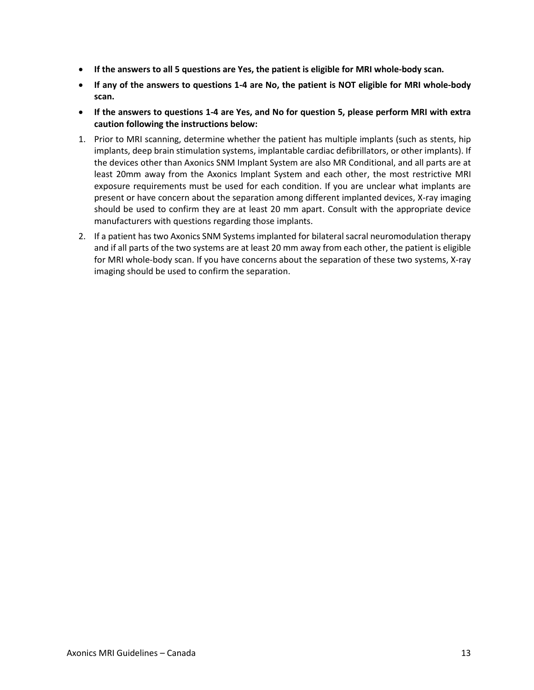- **If the answers to all 5 questions are Yes, the patient is eligible for MRI whole-body scan.**
- **If any of the answers to questions 1-4 are No, the patient is NOT eligible for MRI whole-body scan.**
- **If the answers to questions 1-4 are Yes, and No for question 5, please perform MRI with extra caution following the instructions below:**
- 1. Prior to MRI scanning, determine whether the patient has multiple implants (such as stents, hip implants, deep brain stimulation systems, implantable cardiac defibrillators, or other implants). If the devices other than Axonics SNM Implant System are also MR Conditional, and all parts are at least 20mm away from the Axonics Implant System and each other, the most restrictive MRI exposure requirements must be used for each condition. If you are unclear what implants are present or have concern about the separation among different implanted devices, X-ray imaging should be used to confirm they are at least 20 mm apart. Consult with the appropriate device manufacturers with questions regarding those implants.
- 2. If a patient has two Axonics SNM Systems implanted for bilateral sacral neuromodulation therapy and if all parts of the two systems are at least 20 mm away from each other, the patient is eligible for MRI whole-body scan. If you have concerns about the separation of these two systems, X-ray imaging should be used to confirm the separation.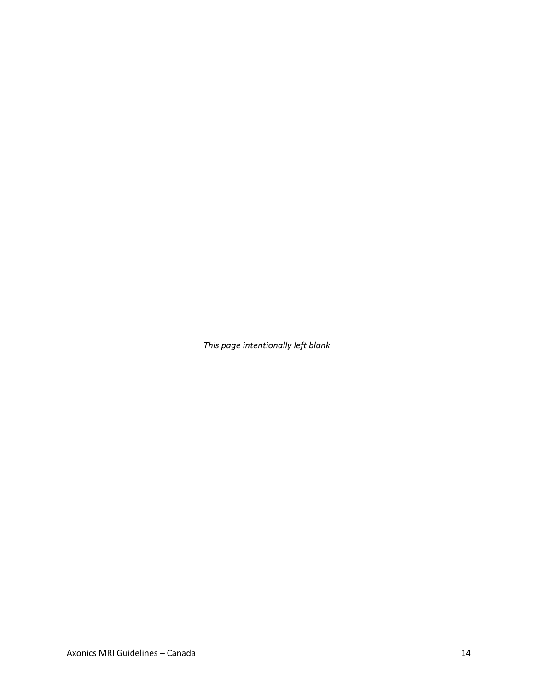*This page intentionally left blank*